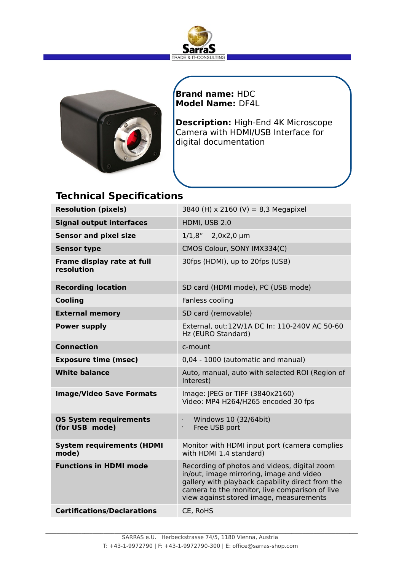



**Brand name:** HDC **Model Name:** DF4L

**Description:** High-End 4K Microscope Camera with HDMI/USB Interface for digital documentation

# **Technical Specifications**

| <b>Resolution (pixels)</b>                      | 3840 (H) x 2160 (V) = 8,3 Megapixel                                                                                                                                                                                                       |
|-------------------------------------------------|-------------------------------------------------------------------------------------------------------------------------------------------------------------------------------------------------------------------------------------------|
| <b>Signal output interfaces</b>                 | HDMI, USB 2.0                                                                                                                                                                                                                             |
| <b>Sensor and pixel size</b>                    | 1/1,8"<br>$2,0x2,0 \mu m$                                                                                                                                                                                                                 |
| <b>Sensor type</b>                              | CMOS Colour, SONY IMX334(C)                                                                                                                                                                                                               |
| Frame display rate at full<br>resolution        | 30fps (HDMI), up to 20fps (USB)                                                                                                                                                                                                           |
| <b>Recording location</b>                       | SD card (HDMI mode), PC (USB mode)                                                                                                                                                                                                        |
| <b>Cooling</b>                                  | Fanless cooling                                                                                                                                                                                                                           |
| <b>External memory</b>                          | SD card (removable)                                                                                                                                                                                                                       |
| <b>Power supply</b>                             | External, out:12V/1A DC In: 110-240V AC 50-60<br>Hz (EURO Standard)                                                                                                                                                                       |
| <b>Connection</b>                               | c-mount                                                                                                                                                                                                                                   |
| <b>Exposure time (msec)</b>                     | 0,04 - 1000 (automatic and manual)                                                                                                                                                                                                        |
| <b>White balance</b>                            | Auto, manual, auto with selected ROI (Region of<br>Interest)                                                                                                                                                                              |
| <b>Image/Video Save Formats</b>                 | Image: JPEG or TIFF (3840x2160)<br>Video: MP4 H264/H265 encoded 30 fps                                                                                                                                                                    |
| <b>OS System requirements</b><br>(for USB mode) | Windows 10 (32/64bit)<br>$\bullet$<br>Free USB port<br>$\bullet$                                                                                                                                                                          |
| <b>System requirements (HDMI</b><br>mode)       | Monitor with HDMI input port (camera complies<br>with HDMI 1.4 standard)                                                                                                                                                                  |
| <b>Functions in HDMI mode</b>                   | Recording of photos and videos, digital zoom<br>in/out, image mirroring, image and video<br>gallery with playback capability direct from the<br>camera to the monitor, live comparison of live<br>view against stored image, measurements |
| <b>Certifications/Declarations</b>              | CE, RoHS                                                                                                                                                                                                                                  |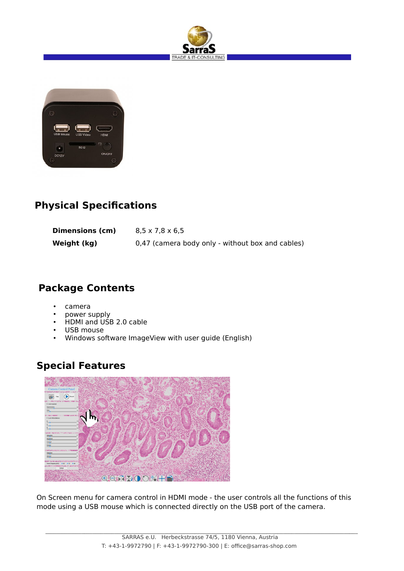



## **Physical Specifications**

| Dimensions (cm) | $8,5 \times 7,8 \times 6,5$                      |
|-----------------|--------------------------------------------------|
| Weight (kg)     | 0.47 (camera body only - without box and cables) |

# **Package Contents**

- camera
- power supply
- HDMI and USB 2.0 cable
- USB mouse
- Windows software ImageView with user guide (English)

## **Special Features**



On Screen menu for camera control in HDMI mode - the user controls all the functions of this mode using a USB mouse which is connected directly on the USB port of the camera.